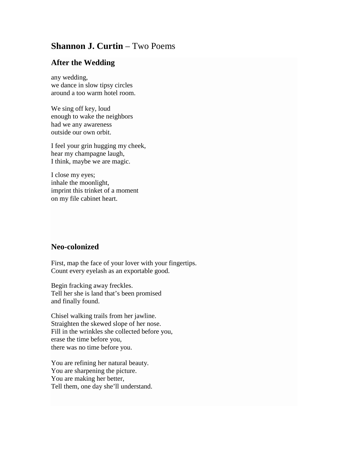## **Shannon J. Curtin – Two Poems**

## **After the Wedding**

any wedding, we dance in slow tipsy circles around a too warm hotel room.

We sing off key, loud enough to wake the neighbors had we any awareness outside our own orbit.

I feel your grin hugging my cheek, hear my champagne laugh, I think, maybe we are magic.

I close my eyes; inhale the moonlight, imprint this trinket of a moment on my file cabinet heart.

## **Neo-colonized**

First, map the face of your lover with your fingertips. Count every eyelash as an exportable good.

Begin fracking away freckles. Tell her she is land that's been promised and finally found.

Chisel walking trails from her jawline. Straighten the skewed slope of her nose. Fill in the wrinkles she collected before you, erase the time before you, there was no time before you.

You are refining her natural beauty. You are sharpening the picture. You are making her better, Tell them, one day she'll understand.